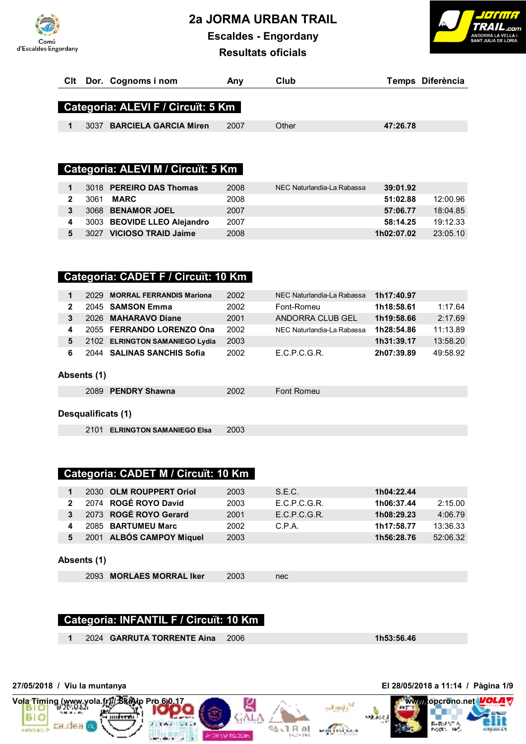**2a JORMA URBAN TRAIL**



**Escaldes - Engordany**



**Resultats oficials**

| CIt Dor. Cognoms i nom               | Anv  | Club  | Temps Diferència |
|--------------------------------------|------|-------|------------------|
| Categoria: ALEVI F / Circuït: 5 Km   |      |       |                  |
| <b>BARCIELA GARCIA Miren</b><br>3037 | 2007 | Other | 47:26.78         |

# **Categoria: ALEVI M / Circuït: 5 Km**

|   | 3018 PEREIRO DAS Thomas     | 2008 | NEC Naturlandia-La Rabassa | 39:01.92   |          |
|---|-----------------------------|------|----------------------------|------------|----------|
|   | 3061<br>MARC                | 2008 |                            | 51:02.88   | 12:00.96 |
| 3 | 3068 BENAMOR JOEL           | 2007 |                            | 57:06.77   | 18:04.85 |
|   | 3003 BEOVIDE LLEO Alejandro | 2007 |                            | 58:14.25   | 19:12.33 |
|   | 3027 VICIOSO TRAID Jaime    | 2008 |                            | 1h02:07.02 | 23:05.10 |

# **Categoria: CADET F / Circuït: 10 Km**

| $\mathbf 1$  | 2029        | <b>MORRAL FERRANDIS Mariona</b> | 2002 | NEC Naturlandia-La Rabassa | 1h17:40.97 |          |
|--------------|-------------|---------------------------------|------|----------------------------|------------|----------|
| $\mathbf{2}$ |             | 2045 SAMSON Emma                | 2002 | Font-Romeu                 | 1h18:58.61 | 1:17.64  |
| 3            | 2026        | <b>MAHARAVO Diane</b>           | 2001 | ANDORRA CLUB GEL           | 1h19:58.66 | 2:17.69  |
| 4            |             | 2055 FERRANDO LORENZO Ona       | 2002 | NEC Naturlandia-La Rabassa | 1h28:54.86 | 11:13.89 |
| 5            |             | 2102 ELRINGTON SAMANIEGO Lydia  | 2003 |                            | 1h31:39.17 | 13:58.20 |
| 6            |             | 2044 SALINAS SANCHIS Sofia      | 2002 | E.C.P.C.G.R.               | 2h07:39.89 | 49:58.92 |
|              |             |                                 |      |                            |            |          |
|              | Absents (1) |                                 |      |                            |            |          |
|              | 2089        | <b>PENDRY Shawna</b>            | 2002 | Font Romeu                 |            |          |

#### **Desqualificats (1)**

2101 **ELRINGTON SAMANIEGO Elsa** 2003

# **Categoria: CADET M / Circuït: 10 Km**

|              | 2030 OLM ROUPPERT Oriol  | 2003 | S.E.C.       | 1h04:22.44 |          |
|--------------|--------------------------|------|--------------|------------|----------|
| $2^{\circ}$  | 2074 ROGÉ ROYO David     | 2003 | E.C.P.C.G.R. | 1h06:37.44 | 2:15.00  |
| $\mathbf{3}$ | 2073 ROGÉ ROYO Gerard    | 2001 | F.C.P.C.G.R. | 1h08:29.23 | 4:06.79  |
|              | 2085 BARTUMEU Marc       | 2002 | C.P.A.       | 1h17:58.77 | 13:36.33 |
| 5.           | 2001 ALBÓS CAMPOY Miquel | 2003 |              | 1h56:28.76 | 52:06.32 |

#### **Absents (1)**

2093 **MORLAES MORRAL Iker** 2003 nec

#### **Categoria: INFANTIL F / Circuït: 10 Km**

**1** 2024 **GARRUTA TORRENTE Aina** 2006 **1h53:56.46**

**27/05/2018 / Viu la muntanya El 28/05/2018 a 11:14 / Pàgina 1/9**

**BIO** 



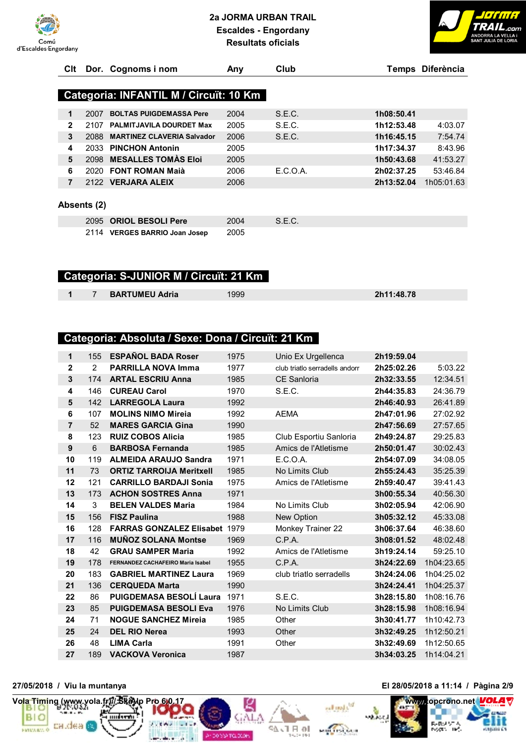



| Clt            |             | Dor. Cognoms i nom                     | Any  | Club     |            | Temps Diferència |
|----------------|-------------|----------------------------------------|------|----------|------------|------------------|
|                |             |                                        |      |          |            |                  |
|                |             | Categoria: INFANTIL M / Circuït: 10 Km |      |          |            |                  |
| 1              | 2007        | <b>BOLTAS PUIGDEMASSA Pere</b>         | 2004 | S.E.C.   | 1h08:50.41 |                  |
| $\mathbf{2}$   | 2107        | <b>PALMITJAVILA DOURDET Max</b>        | 2005 | S.E.C.   | 1h12:53.48 | 4:03.07          |
| 3              | 2088        | <b>MARTINEZ CLAVERIA Salvador</b>      | 2006 | S.E.C.   | 1h16:45.15 | 7:54.74          |
| 4              | 2033        | <b>PINCHON Antonin</b>                 | 2005 |          | 1h17:34.37 | 8:43.96          |
| 5              | 2098        | <b>MESALLES TOMAS Eloi</b>             | 2005 |          | 1h50:43.68 | 41:53.27         |
| 6              | 2020        | <b>FONT ROMAN Maià</b>                 | 2006 | E.C.O.A. | 2h02:37.25 | 53:46.84         |
| $\overline{7}$ |             | 2122 VERJARA ALEIX                     | 2006 |          | 2h13:52.04 | 1h05:01.63       |
|                | Absents (2) |                                        |      |          |            |                  |
|                | 2095        | <b>ORIOL BESOLI Pere</b>               | 2004 | S.E.C.   |            |                  |
|                | 2114        | <b>VERGES BARRIO Joan Josep</b>        | 2005 |          |            |                  |

#### **Categoria: S-JUNIOR M / Circuït: 21 Km**

7 **BARTUMEU Adria** 1999 **2h11:48.78**

#### **Categoria: Absoluta / Sexe: Dona / Circuït: 21 Km**

| $\mathbf{1}$            | 155            | <b>ESPAÑOL BADA Roser</b>            | 1975 | Unio Ex Urgellenca             | 2h19:59.04 |            |
|-------------------------|----------------|--------------------------------------|------|--------------------------------|------------|------------|
| $\overline{\mathbf{2}}$ | 2              | <b>PARRILLA NOVA Imma</b>            | 1977 | club triatlo serradells andorr | 2h25:02.26 | 5:03.22    |
| $\mathbf{3}$            | 174            | <b>ARTAL ESCRIU Anna</b>             | 1985 | <b>CE Sanloria</b>             | 2h32:33.55 | 12:34.51   |
| 4                       | 146            | <b>CUREAU Carol</b>                  | 1970 | S.E.C.                         | 2h44:35.83 | 24:36.79   |
| 5                       | 142            | <b>LARREGOLA Laura</b>               | 1992 |                                | 2h46:40.93 | 26:41.89   |
| 6                       | 107            | <b>MOLINS NIMO Mireja</b>            | 1992 | <b>AEMA</b>                    | 2h47:01.96 | 27:02.92   |
| $\overline{7}$          | 52             | <b>MARES GARCIA Gina</b>             | 1990 |                                | 2h47:56.69 | 27:57.65   |
| 8                       | 123            | <b>RUIZ COBOS Alicia</b>             | 1985 | Club Esportiu Sanloria         | 2h49:24.87 | 29:25.83   |
| $\boldsymbol{9}$        | $6\phantom{1}$ | <b>BARBOSA Fernanda</b>              | 1985 | Amics de l'Atletisme           | 2h50:01.47 | 30:02.43   |
| 10                      | 119            | <b>ALMEIDA ARAUJO Sandra</b>         | 1971 | E.C.O.A.                       | 2h54:07.09 | 34:08.05   |
| 11                      | 73             | <b>ORTIZ TARROIJA Meritxell</b>      | 1985 | No Limits Club                 | 2h55:24.43 | 35:25.39   |
| 12                      | 121            | <b>CARRILLO BARDAJI Sonia</b>        | 1975 | Amics de l'Atletisme           | 2h59:40.47 | 39:41.43   |
| 13                      | 173            | <b>ACHON SOSTRES Anna</b>            | 1971 |                                | 3h00:55.34 | 40:56.30   |
| 14                      | 3              | <b>BELEN VALDES Maria</b>            | 1984 | No Limits Club                 | 3h02:05.94 | 42:06.90   |
| 15                      | 156            | <b>FISZ Paulina</b>                  | 1988 | New Option                     | 3h05:32.12 | 45:33.08   |
| 16                      | 128            | <b>FARRAS GONZALEZ Elisabet 1979</b> |      | Monkey Trainer 22              | 3h06:37.64 | 46:38.60   |
| 17                      | 116            | <b>MUÑOZ SOLANA Montse</b>           | 1969 | C.P.A.                         | 3h08:01.52 | 48:02.48   |
| 18                      | 42             | <b>GRAU SAMPER Maria</b>             | 1992 | Amics de l'Atletisme           | 3h19:24.14 | 59:25.10   |
| 19                      | 178            | FERNANDEZ CACHAFEIRO Maria Isabel    | 1955 | C.P.A.                         | 3h24:22.69 | 1h04:23.65 |
| 20                      | 183            | <b>GABRIEL MARTINEZ Laura</b>        | 1969 | club triatlo serradells        | 3h24:24.06 | 1h04:25.02 |
| 21                      | 136            | <b>CERQUEDA Marta</b>                | 1990 |                                | 3h24:24.41 | 1h04:25.37 |
| 22                      | 86             | <b>PUIGDEMASA BESOLÍ Laura</b>       | 1971 | S.E.C.                         | 3h28:15.80 | 1h08:16.76 |
| 23                      | 85             | <b>PUIGDEMASA BESOLI Eva</b>         | 1976 | No Limits Club                 | 3h28:15.98 | 1h08:16.94 |
| 24                      | 71             | <b>NOGUE SANCHEZ Mireja</b>          | 1985 | Other                          | 3h30:41.77 | 1h10:42.73 |
| 25                      | 24             | <b>DEL RIO Nerea</b>                 | 1993 | Other                          | 3h32:49.25 | 1h12:50.21 |
| 26                      | 48             | <b>LIMA Carla</b>                    | 1991 | Other                          | 3h32:49.69 | 1h12:50.65 |
| 27                      | 189            | <b>VACKOVA Veronica</b>              | 1987 |                                | 3h34:03.25 | 1h14:04.21 |
|                         |                |                                      |      |                                |            |            |

SA JT FL 01



**27/05/2018 / Viu la muntanya El 28/05/2018 a 11:14 / Pàgina 2/9**



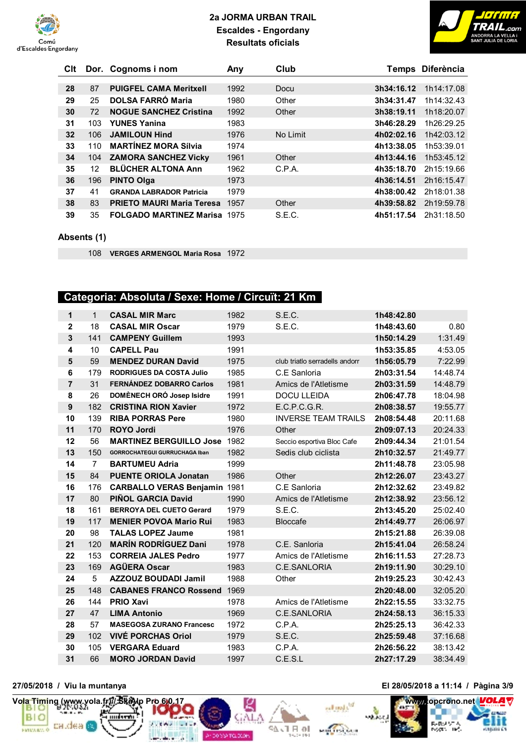



| Clt |     | Dor. Cognoms i nom               | Any  | Club     |            | Temps Diferència |
|-----|-----|----------------------------------|------|----------|------------|------------------|
|     |     |                                  |      |          |            |                  |
| 28  | 87  | <b>PUIGFEL CAMA Meritxell</b>    | 1992 | Docu     | 3h34:16.12 | 1h14:17.08       |
| 29  | 25  | <b>DOLSA FARRÓ Maria</b>         | 1980 | Other    | 3h34:31.47 | 1h14:32.43       |
| 30  | 72  | <b>NOGUE SANCHEZ Cristina</b>    | 1992 | Other    | 3h38:19.11 | 1h18:20.07       |
| 31  | 103 | <b>YUNES Yanina</b>              | 1983 |          | 3h46:28.29 | 1h26:29.25       |
| 32  | 106 | <b>JAMILOUN Hind</b>             | 1976 | No Limit | 4h02:02.16 | 1h42:03.12       |
| 33  | 110 | <b>MARTÍNEZ MORA Sílvia</b>      | 1974 |          | 4h13:38.05 | 1h53:39.01       |
| 34  | 104 | <b>ZAMORA SANCHEZ Vicky</b>      | 1961 | Other    | 4h13:44.16 | 1h53:45.12       |
| 35  | 12  | <b>BLÜCHER ALTONA Ann</b>        | 1962 | C.P.A.   | 4h35:18.70 | 2h15:19.66       |
| 36  | 196 | <b>PINTO Olga</b>                | 1973 |          | 4h36:14.51 | 2h16:15.47       |
| 37  | 41  | <b>GRANDA LABRADOR Patricia</b>  | 1979 |          | 4h38:00.42 | 2h18:01.38       |
| 38  | 83  | <b>PRIETO MAURI Maria Teresa</b> | 1957 | Other    | 4h39:58.82 | 2h19:59.78       |
| 39  | 35  | <b>FOLGADO MARTINEZ Marisa</b>   | 1975 | S.E.C.   | 4h51:17.54 | 2h31:18.50       |

#### **Absents (1)**

**VERGES ARMENGOL Maria Rosa** 1972

# **Categoria: Absoluta / Sexe: Home / Circuït: 21 Km**

| 1                | $\mathbf{1}$   | <b>CASAL MIR Marc</b>                | 1982 | S.E.C.                         | 1h48:42.80 |          |
|------------------|----------------|--------------------------------------|------|--------------------------------|------------|----------|
| $\mathbf 2$      | 18             | <b>CASAL MIR Oscar</b>               | 1979 | S.E.C.                         | 1h48:43.60 | 0.80     |
| $\mathbf{3}$     | 141            | <b>CAMPENY Guillem</b>               | 1993 |                                | 1h50:14.29 | 1:31.49  |
| 4                | 10             | <b>CAPELL Pau</b>                    | 1991 |                                | 1h53:35.85 | 4:53.05  |
| $5\phantom{1}$   | 59             | <b>MENDEZ DURAN David</b>            | 1975 | club triatlo serradells andorr | 1h56:05.79 | 7:22.99  |
| 6                | 179            | <b>RODRIGUES DA COSTA Julio</b>      | 1985 | C.E Sanloria                   | 2h03:31.54 | 14:48.74 |
| $\overline{7}$   | 31             | FERNÁNDEZ DOBARRO Carlos             | 1981 | Amics de l'Atletisme           | 2h03:31.59 | 14:48.79 |
| 8                | 26             | DOMÈNECH ORÓ Josep Isidre            | 1991 | <b>DOCU LLEIDA</b>             | 2h06:47.78 | 18:04.98 |
| $\boldsymbol{9}$ | 182            | <b>CRISTINA RION Xavier</b>          | 1972 | E.C.P.C.G.R.                   | 2h08:38.57 | 19:55.77 |
| 10               | 139            | <b>RIBA PORRAS Pere</b>              | 1980 | <b>INVERSE TEAM TRAILS</b>     | 2h08:54.48 | 20:11.68 |
| 11               | 170            | <b>ROYO Jordi</b>                    | 1976 | Other                          | 2h09:07.13 | 20:24.33 |
| 12               | 56             | <b>MARTINEZ BERGUILLO Jose</b>       | 1982 | Seccio esportiva Bloc Cafe     | 2h09:44.34 | 21:01.54 |
| 13               | 150            | <b>GORROCHATEGUI GURRUCHAGA Iban</b> | 1982 | Sedis club ciclista            | 2h10:32.57 | 21:49.77 |
| 14               | $\overline{7}$ | <b>BARTUMEU Adria</b>                | 1999 |                                | 2h11:48.78 | 23:05.98 |
| 15               | 84             | <b>PUENTE ORIOLA Jonatan</b>         | 1986 | Other                          | 2h12:26.07 | 23:43.27 |
| 16               | 176            | <b>CARBALLO VERAS Benjamin 1981</b>  |      | C.E Sanloria                   | 2h12:32.62 | 23:49.82 |
| 17               | 80             | <b>PIÑOL GARCIA David</b>            | 1990 | Amics de l'Atletisme           | 2h12:38.92 | 23:56.12 |
| 18               | 161            | <b>BERROYA DEL CUETO Gerard</b>      | 1979 | S.E.C.                         | 2h13:45.20 | 25:02.40 |
| 19               | 117            | <b>MENIER POVOA Mario Rui</b>        | 1983 | <b>Bloccafe</b>                | 2h14:49.77 | 26:06.97 |
| 20               | 98             | <b>TALAS LOPEZ Jaume</b>             | 1981 |                                | 2h15:21.88 | 26:39.08 |
| 21               | 120            | <b>MARÍN RODRÍGUEZ Dani</b>          | 1978 | C.E. Sanloria                  | 2h15:41.04 | 26:58.24 |
| 22               | 153            | <b>CORREIA JALES Pedro</b>           | 1977 | Amics de l'Atletisme           | 2h16:11.53 | 27:28.73 |
| 23               | 169            | <b>AGÜERA Oscar</b>                  | 1983 | C.E.SANLORIA                   | 2h19:11.90 | 30:29.10 |
| 24               | 5              | <b>AZZOUZ BOUDADI Jamil</b>          | 1988 | Other                          | 2h19:25.23 | 30:42.43 |
| 25               | 148            | <b>CABANES FRANCO Rossend</b>        | 1969 |                                | 2h20:48.00 | 32:05.20 |
| 26               | 144            | <b>PRIO Xavi</b>                     | 1978 | Amics de l'Atletisme           | 2h22:15.55 | 33:32.75 |
| 27               | 47             | <b>LIMA Antonio</b>                  | 1969 | C.E.SANLORIA                   | 2h24:58.13 | 36:15.33 |
| 28               | 57             | <b>MASEGOSA ZURANO Francesc</b>      | 1972 | C.P.A.                         | 2h25:25.13 | 36:42.33 |
| 29               | 102            | <b>VIVÉ PORCHAS Oriol</b>            | 1979 | S.E.C.                         | 2h25:59.48 | 37:16.68 |
| 30               | 105            | <b>VERGARA Eduard</b>                | 1983 | C.P.A.                         | 2h26:56.22 | 38:13.42 |
| 31               | 66             | <b>MORO JORDAN David</b>             | 1997 | C.E.S.L                        | 2h27:17.29 | 38:34.49 |

Andorsoma.com



#### **27/05/2018 / Viu la muntanya El 28/05/2018 a 11:14 / Pàgina 3/9**



**Voltage Control** equator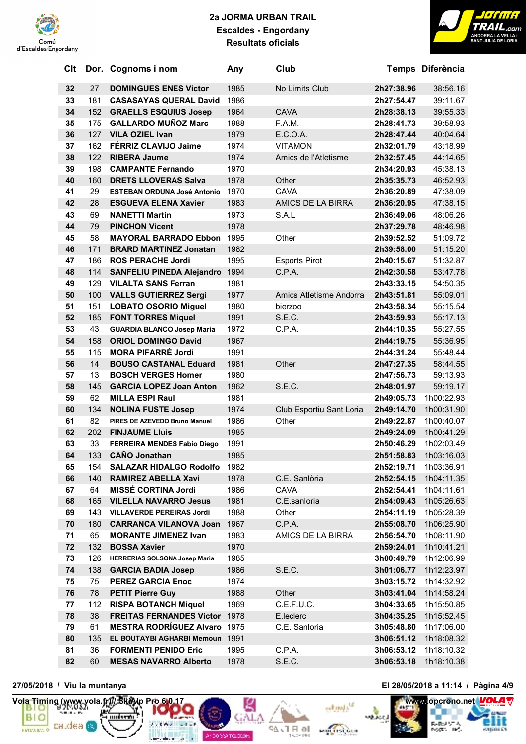



| Clt |     | Dor. Cognoms i nom                  | Any  | Club                     |            | Temps Diferència |
|-----|-----|-------------------------------------|------|--------------------------|------------|------------------|
| 32  | 27  | <b>DOMINGUES ENES Victor</b>        | 1985 | No Limits Club           | 2h27:38.96 | 38:56.16         |
| 33  | 181 | <b>CASASAYAS QUERAL David</b>       | 1986 |                          | 2h27:54.47 | 39:11.67         |
| 34  | 152 | <b>GRAELLS ESQUIUS Josep</b>        | 1964 | <b>CAVA</b>              | 2h28:38.13 | 39:55.33         |
| 35  | 175 | <b>GALLARDO MUÑOZ Marc</b>          | 1988 | F.A.M.                   | 2h28:41.73 | 39:58.93         |
| 36  | 127 | <b>VILA OZIEL Ivan</b>              | 1979 | E.C.O.A.                 | 2h28:47.44 | 40:04.64         |
| 37  | 162 | FÉRRIZ CLAVIJO Jaime                | 1974 | <b>VITAMON</b>           | 2h32:01.79 | 43:18.99         |
| 38  | 122 | <b>RIBERA Jaume</b>                 | 1974 | Amics de l'Atletisme     | 2h32:57.45 | 44:14.65         |
| 39  | 198 | <b>CAMPANTE Fernando</b>            | 1970 |                          | 2h34:20.93 | 45:38.13         |
| 40  | 160 | <b>DRETS LLOVERAS Salva</b>         | 1978 | Other                    | 2h35:35.73 | 46:52.93         |
| 41  | 29  | <b>ESTEBAN ORDUNA José Antonio</b>  | 1970 | <b>CAVA</b>              | 2h36:20.89 | 47:38.09         |
| 42  | 28  | <b>ESGUEVA ELENA Xavier</b>         | 1983 | AMICS DE LA BIRRA        | 2h36:20.95 | 47:38.15         |
| 43  | 69  | <b>NANETTI Martin</b>               | 1973 | S.A.L                    | 2h36:49.06 | 48:06.26         |
| 44  | 79  | <b>PINCHON Vicent</b>               | 1978 |                          | 2h37:29.78 | 48:46.98         |
| 45  | 58  | <b>MAYORAL BARRADO Ebbon</b>        | 1995 | Other                    | 2h39:52.52 | 51:09.72         |
| 46  | 171 | <b>BRARD MARTINEZ Jonatan</b>       | 1982 |                          | 2h39:58.00 | 51:15.20         |
| 47  | 186 | <b>ROS PERACHE Jordi</b>            | 1995 | <b>Esports Pirot</b>     | 2h40:15.67 | 51:32.87         |
| 48  | 114 | <b>SANFELIU PINEDA Alejandro</b>    | 1994 | C.P.A.                   | 2h42:30.58 | 53:47.78         |
| 49  | 129 | <b>VILALTA SANS Ferran</b>          | 1981 |                          | 2h43:33.15 | 54:50.35         |
| 50  | 100 | <b>VALLS GUTIERREZ Sergi</b>        | 1977 | Amics Atletisme Andorra  | 2h43:51.81 | 55:09.01         |
| 51  | 151 | <b>LOBATO OSORIO Miguel</b>         | 1980 | bierzoo                  | 2h43:58.34 | 55:15.54         |
| 52  | 185 | <b>FONT TORRES Miquel</b>           | 1991 | S.E.C.                   | 2h43:59.93 | 55:17.13         |
| 53  | 43  | <b>GUARDIA BLANCO Josep Maria</b>   | 1972 | C.P.A.                   | 2h44:10.35 | 55:27.55         |
| 54  | 158 | <b>ORIOL DOMINGO David</b>          | 1967 |                          | 2h44:19.75 | 55:36.95         |
| 55  | 115 | <b>MORA PIFARRÉ Jordi</b>           | 1991 |                          | 2h44:31.24 | 55:48.44         |
| 56  | 14  | <b>BOUSO CASTANAL Eduard</b>        | 1981 | Other                    | 2h47:27.35 | 58:44.55         |
| 57  | 13  | <b>BOSCH VERGES Homer</b>           | 1980 |                          | 2h47:56.73 | 59:13.93         |
| 58  | 145 | <b>GARCIA LOPEZ Joan Anton</b>      | 1962 | S.E.C.                   | 2h48:01.97 | 59:19.17         |
| 59  | 62  | <b>MILLA ESPI Raul</b>              | 1981 |                          | 2h49:05.73 | 1h00:22.93       |
| 60  | 134 | <b>NOLINA FUSTE Josep</b>           | 1974 | Club Esportiu Sant Loria | 2h49:14.70 | 1h00:31.90       |
| 61  | 82  | PIRES DE AZEVEDO Bruno Manuel       | 1986 | Other                    | 2h49:22.87 | 1h00:40.07       |
| 62  | 202 | <b>FINJAUME Lluis</b>               | 1985 |                          | 2h49:24.09 | 1h00:41.29       |
| 63  | 33  | FERREIRA MENDES Fabio Diego         | 1991 |                          | 2h50:46.29 | 1h02:03.49       |
| 64  | 133 | <b>CAÑO Jonathan</b>                | 1985 |                          | 2h51:58.83 | 1h03:16.03       |
| 65  | 154 | <b>SALAZAR HIDALGO Rodolfo</b>      | 1982 |                          | 2h52:19.71 | 1h03:36.91       |
| 66  | 140 | <b>RAMIREZ ABELLA Xavi</b>          | 1978 | C.E. Sanlòria            | 2h52:54.15 | 1h04:11.35       |
| 67  | 64  | <b>MISSÉ CORTINA Jordi</b>          | 1986 | CAVA                     | 2h52:54.41 | 1h04:11.61       |
| 68  | 165 | <b>VILELLA NAVARRO Jesus</b>        | 1981 | C.E.sanloria             | 2h54:09.43 | 1h05:26.63       |
| 69  | 143 | <b>VILLAVERDE PEREIRAS Jordi</b>    | 1988 | Other                    | 2h54:11.19 | 1h05:28.39       |
| 70  | 180 | <b>CARRANCA VILANOVA Joan</b>       | 1967 | C.P.A.                   | 2h55:08.70 | 1h06:25.90       |
| 71  | 65  | <b>MORANTE JIMENEZ Ivan</b>         | 1983 | AMICS DE LA BIRRA        | 2h56:54.70 | 1h08:11.90       |
| 72  | 132 | <b>BOSSA Xavier</b>                 | 1970 |                          | 2h59:24.01 | 1h10:41.21       |
| 73  | 126 | HERRERIAS SOLSONA Josep Maria       | 1985 |                          | 3h00:49.79 | 1h12:06.99       |
| 74  | 138 | <b>GARCIA BADIA Josep</b>           | 1986 | S.E.C.                   | 3h01:06.77 | 1h12:23.97       |
| 75  | 75  | <b>PEREZ GARCIA Enoc</b>            | 1974 |                          | 3h03:15.72 | 1h14:32.92       |
| 76  | 78  | <b>PETIT Pierre Guy</b>             | 1988 | Other                    | 3h03:41.04 | 1h14:58.24       |
| 77  | 112 | <b>RISPA BOTANCH Miquel</b>         | 1969 | C.E.F.U.C.               | 3h04:33.65 | 1h15:50.85       |
| 78  | 38  | <b>FREITAS FERNANDES Victor</b>     | 1978 | E.leclerc                | 3h04:35.25 | 1h15:52.45       |
| 79  | 61  | <b>MESTRA RODRÍGUEZ Alvaro 1975</b> |      | C.E. Sanloria            | 3h05:48.80 | 1h17:06.00       |
| 80  | 135 | EL BOUTAYBI AGHARBI Memoun 1991     |      |                          | 3h06:51.12 | 1h18:08.32       |
| 81  | 36  | <b>FORMENTI PENIDO Eric</b>         | 1995 | C.P.A.                   | 3h06:53.12 | 1h18:10.32       |
| 82  | 60  | <b>MESAS NAVARRO Alberto</b>        | 1978 | S.E.C.                   | 3h06:53.18 | 1h18:10.38       |



**27/05/2018 / Viu la muntanya El 28/05/2018 a 11:14 / Pàgina 4/9**

di kori

₹

**Professional** 

10 R F / 42

Anderse Telleton

**Volta**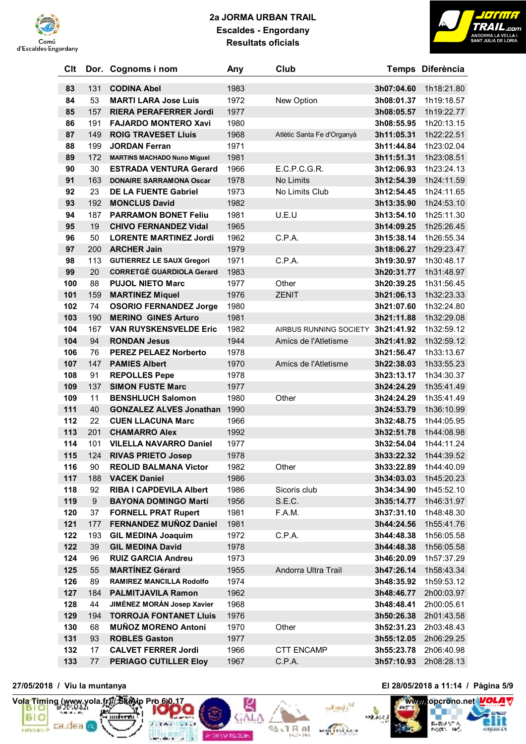



| Clt |     | Dor. Cognoms i nom                                 | Any  | Club                       |            | Temps Diferència         |
|-----|-----|----------------------------------------------------|------|----------------------------|------------|--------------------------|
| 83  | 131 | <b>CODINA Abel</b>                                 | 1983 |                            | 3h07:04.60 | 1h18:21.80               |
| 84  | 53  | <b>MARTI LARA Jose Luis</b>                        | 1972 | New Option                 | 3h08:01.37 | 1h19:18.57               |
| 85  | 157 | <b>RIERA PERAFERRER Jordi</b>                      | 1977 |                            | 3h08:05.57 | 1h19:22.77               |
| 86  | 191 | <b>FAJARDO MONTERO Xavi</b>                        | 1980 |                            | 3h08:55.95 | 1h20:13.15               |
| 87  | 149 | <b>ROIG TRAVESET Lluís</b>                         | 1968 | Atlètic Santa Fe d'Organyà | 3h11:05.31 | 1h22:22.51               |
| 88  | 199 | <b>JORDAN Ferran</b>                               | 1971 |                            | 3h11:44.84 | 1h23:02.04               |
| 89  | 172 | <b>MARTINS MACHADO Nuno Miguel</b>                 | 1981 |                            | 3h11:51.31 | 1h23:08.51               |
| 90  | 30  | <b>ESTRADA VENTURA Gerard</b>                      | 1966 | E.C.P.C.G.R.               | 3h12:06.93 | 1h23:24.13               |
| 91  | 163 | <b>DONAIRE SARRAMONA Oscar</b>                     | 1978 | No Limits                  | 3h12:54.39 | 1h24:11.59               |
| 92  | 23  | <b>DE LA FUENTE Gabriel</b>                        | 1973 | No Limits Club             | 3h12:54.45 | 1h24:11.65               |
| 93  | 192 | <b>MONCLUS David</b>                               | 1982 |                            | 3h13:35.90 | 1h24:53.10               |
| 94  | 187 | <b>PARRAMON BONET Feliu</b>                        | 1981 | U.E.U                      | 3h13:54.10 | 1h25:11.30               |
| 95  | 19  | <b>CHIVO FERNANDEZ Vidal</b>                       | 1965 |                            | 3h14:09.25 | 1h25:26.45               |
| 96  | 50  | <b>LORENTE MARTINEZ Jordi</b>                      | 1962 | C.P.A.                     | 3h15:38.14 | 1h26:55.34               |
| 97  | 200 | <b>ARCHER Jain</b>                                 | 1979 |                            | 3h18:06.27 | 1h29:23.47               |
| 98  | 113 | <b>GUTIERREZ LE SAUX Gregori</b>                   | 1971 | C.P.A.                     | 3h19:30.97 | 1h30:48.17               |
| 99  | 20  | <b>CORRETGÉ GUARDIOLA Gerard</b>                   | 1983 |                            | 3h20:31.77 | 1h31:48.97               |
| 100 | 88  | <b>PUJOL NIETO Marc</b>                            | 1977 | Other                      | 3h20:39.25 | 1h31:56.45               |
| 101 | 159 | <b>MARTINEZ Miquel</b>                             | 1976 | <b>ZENIT</b>               | 3h21:06.13 | 1h32:23.33               |
| 102 | 74  | <b>OSORIO FERNANDEZ Jorge</b>                      | 1980 |                            | 3h21:07.60 | 1h32:24.80               |
| 103 | 190 | <b>MERINO GINES Arturo</b>                         | 1981 |                            | 3h21:11.88 | 1h32:29.08               |
| 104 | 167 | <b>VAN RUYSKENSVELDE Eric</b>                      | 1982 | AIRBUS RUNNING SOCIETY     | 3h21:41.92 | 1h32:59.12               |
| 104 | 94  | <b>RONDAN Jesus</b>                                | 1944 | Amics de l'Atletisme       | 3h21:41.92 | 1h32:59.12               |
| 106 | 76  | <b>PEREZ PELAEZ Norberto</b>                       | 1978 |                            | 3h21:56.47 | 1h33:13.67               |
| 107 | 147 | <b>PAMIES Albert</b>                               | 1970 | Amics de l'Atletisme       | 3h22:38.03 | 1h33:55.23               |
| 108 | 91  | <b>REPOLLES Pepe</b>                               | 1978 |                            | 3h23:13.17 | 1h34:30.37               |
| 109 | 137 | <b>SIMON FUSTE Marc</b>                            | 1977 |                            | 3h24:24.29 | 1h35:41.49               |
| 109 | 11  | <b>BENSHLUCH Salomon</b>                           | 1980 | Other                      | 3h24:24.29 | 1h35:41.49               |
| 111 | 40  | <b>GONZALEZ ALVES Jonathan</b>                     | 1990 |                            | 3h24:53.79 | 1h36:10.99               |
| 112 | 22  | <b>CUEN LLACUNA Marc</b>                           | 1966 |                            | 3h32:48.75 | 1h44:05.95               |
| 113 | 201 | <b>CHAMARRO Alex</b>                               | 1992 |                            | 3h32:51.78 | 1h44:08.98               |
| 114 | 101 | <b>VILELLA NAVARRO Daniel</b>                      | 1977 |                            | 3h32:54.04 | 1h44:11.24               |
| 115 | 124 | <b>RIVAS PRIETO Josep</b>                          | 1978 |                            | 3h33:22.32 | 1h44:39.52               |
| 116 | 90  | <b>REOLID BALMANA Victor</b>                       | 1982 | Other                      | 3h33:22.89 | 1h44:40.09               |
| 117 | 188 | <b>VACEK Daniel</b>                                | 1986 |                            | 3h34:03.03 | 1h45:20.23               |
| 118 | 92  | <b>RIBA I CAPDEVILA Albert</b>                     | 1986 | Sicoris club               | 3h34:34.90 | 1h45:52.10               |
| 119 | 9   | <b>BAYONA DOMINGO Martí</b>                        | 1956 | S.E.C.                     | 3h35:14.77 | 1h46:31.97               |
| 120 | 37  | <b>FORNELL PRAT Rupert</b>                         | 1981 | F.A.M.                     | 3h37:31.10 | 1h48:48.30               |
| 121 | 177 | <b>FERNANDEZ MUÑOZ Daniel</b>                      | 1981 |                            | 3h44:24.56 | 1h55:41.76               |
| 122 | 193 | <b>GIL MEDINA Joaquim</b>                          | 1972 | C.P.A.                     | 3h44:48.38 | 1h56:05.58               |
| 122 | 39  | <b>GIL MEDINA David</b>                            | 1978 |                            | 3h44:48.38 | 1h56:05.58               |
| 124 | 96  | <b>RUIZ GARCIA Andreu</b>                          | 1973 |                            | 3h46:20.09 | 1h57:37.29               |
| 125 | 55  | <b>MARTÍNEZ Gérard</b>                             | 1955 | Andorra Ultra Trail        | 3h47:26.14 | 1h58:43.34               |
| 126 | 89  | <b>RAMIREZ MANCILLA Rodolfo</b>                    | 1974 |                            | 3h48:35.92 | 1h59:53.12               |
| 127 | 184 | <b>PALMITJAVILA Ramon</b>                          | 1962 |                            | 3h48:46.77 | 2h00:03.97               |
| 128 | 44  | JIMÉNEZ MORÁN Josep Xavier                         | 1968 |                            | 3h48:48.41 | 2h00:05.61               |
| 129 | 194 | <b>TORROJA FONTANET Lluis</b>                      | 1976 |                            | 3h50:26.38 | 2h01:43.58               |
| 130 | 68  | <b>MUNOZ MORENO Antoni</b>                         | 1970 | Other                      | 3h52:31.23 | 2h03:48.43               |
| 131 | 93  | <b>ROBLES Gaston</b><br><b>CALVET FERRER Jordi</b> | 1977 |                            | 3h55:12.05 | 2h06:29.25<br>2h06:40.98 |
| 132 | 17  |                                                    | 1966 | <b>CTT ENCAMP</b>          | 3h55:23.78 |                          |
| 133 | 77  | PERIAGO CUTILLER Eloy                              | 1967 | C.P.A.                     | 3h57:10.93 | 2h08:28.13               |



**27/05/2018 / Viu la muntanya El 28/05/2018 a 11:14 / Pàgina 5/9**



10 R F / 42

Anderse Telleton

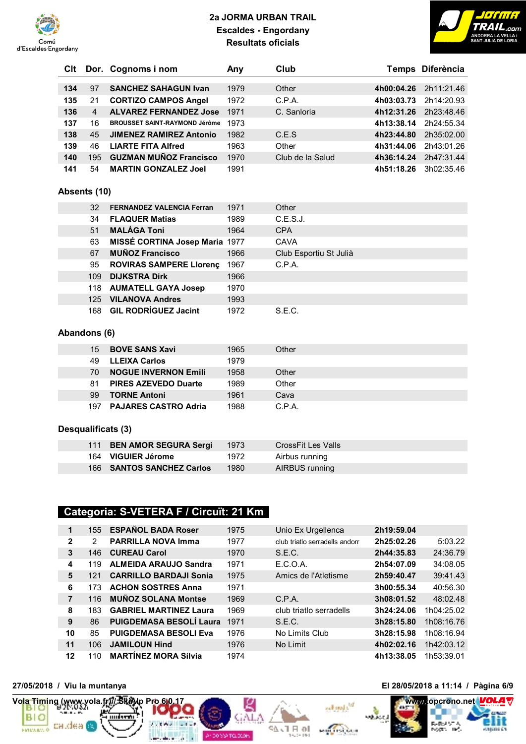



| Clt |                | Dor. Cognoms i nom                   | Any  | Club                   |            | Temps Diferència |
|-----|----------------|--------------------------------------|------|------------------------|------------|------------------|
| 134 | 97             | <b>SANCHEZ SAHAGUN Ivan</b>          | 1979 | Other                  | 4h00:04.26 | 2h11:21.46       |
| 135 | 21             | <b>CORTIZO CAMPOS Angel</b>          | 1972 | C.P.A.                 | 4h03:03.73 | 2h14:20.93       |
| 136 | $\overline{4}$ | <b>ALVAREZ FERNANDEZ Jose</b>        | 1971 | C. Sanloria            | 4h12:31.26 | 2h23:48.46       |
| 137 | 16             | <b>BROUSSET SAINT-RAYMOND Jérôme</b> | 1973 |                        | 4h13:38.14 | 2h24:55.34       |
| 138 | 45             | <b>JIMENEZ RAMIREZ Antonio</b>       | 1982 | C.E.S                  | 4h23:44.80 | 2h35:02.00       |
| 139 | 46             | <b>LIARTE FITA Alfred</b>            | 1963 | Other                  | 4h31:44.06 | 2h43:01.26       |
| 140 | 195            | <b>GUZMAN MUÑOZ Francisco</b>        | 1970 | Club de la Salud       | 4h36:14.24 | 2h47:31.44       |
|     |                |                                      |      |                        |            |                  |
| 141 | 54             | <b>MARTIN GONZALEZ Joel</b>          | 1991 |                        | 4h51:18.26 | 3h02:35.46       |
|     | Absents (10)   |                                      |      |                        |            |                  |
|     |                |                                      |      |                        |            |                  |
|     | 32             | <b>FERNANDEZ VALENCIA Ferran</b>     | 1971 | Other                  |            |                  |
|     | 34             | <b>FLAQUER Matias</b>                | 1989 | C.E.S.J.               |            |                  |
|     | 51             | <b>MALÁGA Toni</b>                   | 1964 | <b>CPA</b>             |            |                  |
|     | 63             | MISSÉ CORTINA Josep Maria 1977       |      | <b>CAVA</b>            |            |                  |
|     | 67             | <b>MUÑOZ Francisco</b>               | 1966 | Club Esportiu St Julià |            |                  |
|     | 95             | <b>ROVIRAS SAMPERE LIorenç</b>       | 1967 | C.P.A.                 |            |                  |
|     | 109            | <b>DIJKSTRA Dirk</b>                 | 1966 |                        |            |                  |
|     | 118            | <b>AUMATELL GAYA Josep</b>           | 1970 |                        |            |                  |
|     | 125            | <b>VILANOVA Andres</b>               | 1993 |                        |            |                  |
|     | 168            | <b>GIL RODRÍGUEZ Jacint</b>          | 1972 | S.E.C.                 |            |                  |
|     |                |                                      |      |                        |            |                  |
|     | Abandons (6)   |                                      |      |                        |            |                  |
|     | 15             | <b>BOVE SANS Xavi</b>                | 1965 | Other                  |            |                  |
|     | 49             | <b>LLEIXA Carlos</b>                 | 1979 |                        |            |                  |
|     | 70             | <b>NOGUE INVERNON Emili</b>          | 1958 | Other                  |            |                  |
|     | 81             | <b>PIRES AZEVEDO Duarte</b>          | 1989 | Other                  |            |                  |
|     | 99             | <b>TORNE Antoni</b>                  | 1961 | Cava                   |            |                  |

**PAJARES CASTRO Adria** 1988 C.P.A.

#### **Desqualificats (3)**

| 111 BEN AMOR SEGURA Sergi | 1973 | CrossFit Les Valls |
|---------------------------|------|--------------------|
| 164 VIGUIER Jérome        | 1972 | Airbus running     |
| 166 SANTOS SANCHEZ Carlos | 1980 | AIRBUS running     |

# **Categoria: S-VETERA F / Circuït: 21 Km**

| 1            | 155 | <b>ESPAÑOL BADA Roser</b>      | 1975 | Unio Ex Urgellenca             | 2h19:59.04 |            |
|--------------|-----|--------------------------------|------|--------------------------------|------------|------------|
| $\mathbf{2}$ | 2   | <b>PARRILLA NOVA Imma</b>      | 1977 | club triatlo serradells andorr | 2h25:02.26 | 5:03.22    |
| 3            | 146 | <b>CUREAU Carol</b>            | 1970 | S.E.C.                         | 2h44:35.83 | 24:36.79   |
| 4            | 119 | <b>ALMEIDA ARAUJO Sandra</b>   | 1971 | E.C.O.A.                       | 2h54:07.09 | 34:08.05   |
| 5            | 121 | <b>CARRILLO BARDAJI Sonia</b>  | 1975 | Amics de l'Atletisme           | 2h59:40.47 | 39:41.43   |
| 6            | 173 | <b>ACHON SOSTRES Anna</b>      | 1971 |                                | 3h00:55.34 | 40:56.30   |
| 7            | 116 | <b>MUNOZ SOLANA Montse</b>     | 1969 | C.P.A.                         | 3h08:01.52 | 48:02.48   |
| 8            | 183 | <b>GABRIEL MARTINEZ Laura</b>  | 1969 | club triatlo serradells        | 3h24:24.06 | 1h04:25.02 |
| 9            | 86  | <b>PUIGDEMASA BESOLÍ Laura</b> | 1971 | S.E.C.                         | 3h28:15.80 | 1h08:16.76 |
| 10           | 85  | <b>PUIGDEMASA BESOLI Eva</b>   | 1976 | No Limits Club                 | 3h28:15.98 | 1h08:16.94 |
| 11           | 106 | <b>JAMILOUN Hind</b>           | 1976 | No Limit                       | 4h02:02.16 | 1h42:03.12 |
| 12           | 110 | <b>MARTÍNEZ MORA Sílvia</b>    | 1974 |                                | 4h13:38.05 | 1h53:39.01 |

96.





**27/05/2018 / Viu la muntanya El 28/05/2018 a 11:14 / Pàgina 6/9**

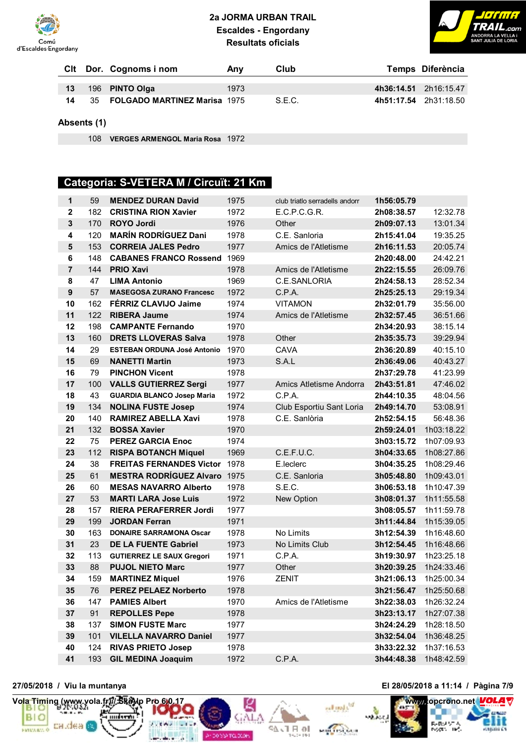



|    | Cit Dor. Cognoms i nom                 | Anv  | Club   | Temps Diferència      |
|----|----------------------------------------|------|--------|-----------------------|
| 13 | 196 PINTO Olga                         | 1973 |        | 4h36:14.51 2h16:15.47 |
| 14 | 35 <b>FOLGADO MARTINEZ Marisa</b> 1975 |      | S.E.C. | 4h51:17.54 2h31:18.50 |

**Absents (1)**

**VERGES ARMENGOL Maria Rosa** 1972

# **Categoria: S-VETERA M / Circuït: 21 Km**

| $\mathbf{1}$     | 59  | <b>MENDEZ DURAN David</b>            | 1975 | club triatlo serradells andorr | 1h56:05.79 |            |
|------------------|-----|--------------------------------------|------|--------------------------------|------------|------------|
| $\mathbf{2}$     | 182 | <b>CRISTINA RION Xavier</b>          | 1972 | E.C.P.C.G.R.                   | 2h08:38.57 | 12:32.78   |
| $\mathbf{3}$     | 170 | <b>ROYO Jordi</b>                    | 1976 | Other                          | 2h09:07.13 | 13:01.34   |
| 4                | 120 | <b>MARÍN RODRÍGUEZ Dani</b>          | 1978 | C.E. Sanloria                  | 2h15:41.04 | 19:35.25   |
| ${\bf 5}$        | 153 | <b>CORREIA JALES Pedro</b>           | 1977 | Amics de l'Atletisme           | 2h16:11.53 | 20:05.74   |
| 6                | 148 | <b>CABANES FRANCO Rossend</b>        | 1969 |                                | 2h20:48.00 | 24:42.21   |
| $\overline{7}$   | 144 | <b>PRIO Xavi</b>                     | 1978 | Amics de l'Atletisme           | 2h22:15.55 | 26:09.76   |
| 8                | 47  | <b>LIMA Antonio</b>                  | 1969 | C.E.SANLORIA                   | 2h24:58.13 | 28:52.34   |
| $\boldsymbol{9}$ | 57  | <b>MASEGOSA ZURANO Francesc</b>      | 1972 | C.P.A.                         | 2h25:25.13 | 29:19.34   |
| 10               | 162 | FÉRRIZ CLAVIJO Jaime                 | 1974 | <b>VITAMON</b>                 | 2h32:01.79 | 35:56.00   |
| 11               | 122 | <b>RIBERA Jaume</b>                  | 1974 | Amics de l'Atletisme           | 2h32:57.45 | 36:51.66   |
| 12               | 198 | <b>CAMPANTE Fernando</b>             | 1970 |                                | 2h34:20.93 | 38:15.14   |
| 13               | 160 | <b>DRETS LLOVERAS Salva</b>          | 1978 | Other                          | 2h35:35.73 | 39:29.94   |
| 14               | 29  | <b>ESTEBAN ORDUNA José Antonio</b>   | 1970 | <b>CAVA</b>                    | 2h36:20.89 | 40:15.10   |
| 15               | 69  | <b>NANETTI Martin</b>                | 1973 | S.A.L                          | 2h36:49.06 | 40:43.27   |
| 16               | 79  | <b>PINCHON Vicent</b>                | 1978 |                                | 2h37:29.78 | 41:23.99   |
| 17               | 100 | <b>VALLS GUTIERREZ Sergi</b>         | 1977 | Amics Atletisme Andorra        | 2h43:51.81 | 47:46.02   |
| 18               | 43  | <b>GUARDIA BLANCO Josep Maria</b>    | 1972 | C.P.A.                         | 2h44:10.35 | 48:04.56   |
| 19               | 134 | <b>NOLINA FUSTE Josep</b>            | 1974 | Club Esportiu Sant Loria       | 2h49:14.70 | 53:08.91   |
| 20               | 140 | <b>RAMIREZ ABELLA Xavi</b>           | 1978 | C.E. Sanlòria                  | 2h52:54.15 | 56:48.36   |
| 21               | 132 | <b>BOSSA Xavier</b>                  | 1970 |                                | 2h59:24.01 | 1h03:18.22 |
| 22               | 75  | <b>PEREZ GARCIA Enoc</b>             | 1974 |                                | 3h03:15.72 | 1h07:09.93 |
| 23               | 112 | <b>RISPA BOTANCH Miquel</b>          | 1969 | C.E.F.U.C.                     | 3h04:33.65 | 1h08:27.86 |
| 24               | 38  | <b>FREITAS FERNANDES Victor 1978</b> |      | E.leclerc                      | 3h04:35.25 | 1h08:29.46 |
| 25               | 61  | <b>MESTRA RODRÍGUEZ Alvaro 1975</b>  |      | C.E. Sanloria                  | 3h05:48.80 | 1h09:43.01 |
| 26               | 60  | <b>MESAS NAVARRO Alberto</b>         | 1978 | S.E.C.                         | 3h06:53.18 | 1h10:47.39 |
| 27               | 53  | <b>MARTI LARA Jose Luis</b>          | 1972 | New Option                     | 3h08:01.37 | 1h11:55.58 |
| 28               | 157 | <b>RIERA PERAFERRER Jordi</b>        | 1977 |                                | 3h08:05.57 | 1h11:59.78 |
| 29               | 199 | <b>JORDAN Ferran</b>                 | 1971 |                                | 3h11:44.84 | 1h15:39.05 |
| 30               | 163 | <b>DONAIRE SARRAMONA Oscar</b>       | 1978 | No Limits                      | 3h12:54.39 | 1h16:48.60 |
| 31               | 23  | <b>DE LA FUENTE Gabriel</b>          | 1973 | No Limits Club                 | 3h12:54.45 | 1h16:48.66 |
| 32               | 113 | <b>GUTIERREZ LE SAUX Gregori</b>     | 1971 | C.P.A.                         | 3h19:30.97 | 1h23:25.18 |
| 33               | 88  | <b>PUJOL NIETO Marc</b>              | 1977 | Other                          | 3h20:39.25 | 1h24:33.46 |
| 34               | 159 | <b>MARTINEZ Miquel</b>               | 1976 | <b>ZENIT</b>                   | 3h21:06.13 | 1h25:00.34 |
| 35               | 76  | <b>PEREZ PELAEZ Norberto</b>         | 1978 |                                | 3h21:56.47 | 1h25:50.68 |
| 36               | 147 | <b>PAMIES Albert</b>                 | 1970 | Amics de l'Atletisme           | 3h22:38.03 | 1h26:32.24 |
| 37               | 91  | <b>REPOLLES Pepe</b>                 | 1978 |                                | 3h23:13.17 | 1h27:07.38 |
| 38               | 137 | <b>SIMON FUSTE Marc</b>              | 1977 |                                | 3h24:24.29 | 1h28:18.50 |
| 39               | 101 | <b>VILELLA NAVARRO Daniel</b>        | 1977 |                                | 3h32:54.04 | 1h36:48.25 |
| 40               | 124 | <b>RIVAS PRIETO Josep</b>            | 1978 |                                | 3h33:22.32 | 1h37:16.53 |
| 41               | 193 | <b>GIL MEDINA Joaquim</b>            | 1972 | C.P.A.                         | 3h44:48.38 | 1h48:42.59 |

56 J F of

An DO YOUTCLOCK



## **27/05/2018 / Viu la muntanya El 28/05/2018 a 11:14 / Pàgina 7/9**

equator

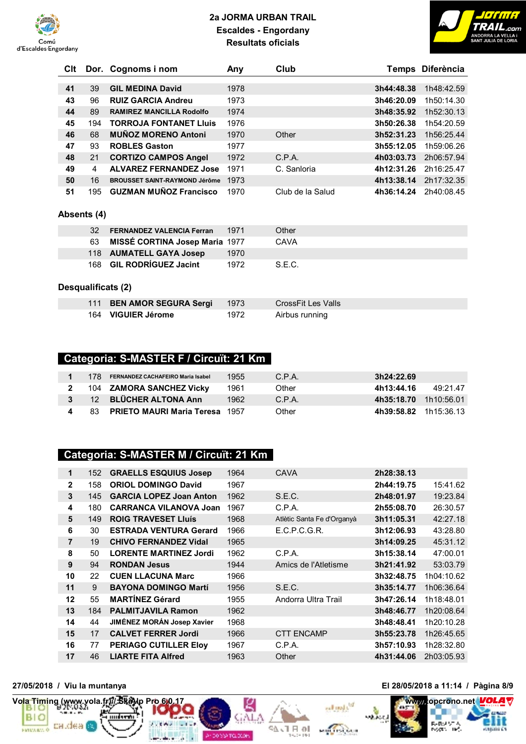



|                    |                                      | Any                                    |                                               |            | Temps Diferència                         |  |
|--------------------|--------------------------------------|----------------------------------------|-----------------------------------------------|------------|------------------------------------------|--|
|                    |                                      |                                        |                                               |            |                                          |  |
|                    |                                      |                                        |                                               |            | 1h48:42.59                               |  |
| 96                 | <b>RUIZ GARCIA Andreu</b>            | 1973                                   |                                               | 3h46:20.09 | 1h50:14.30                               |  |
| 89                 | <b>RAMIREZ MANCILLA Rodolfo</b>      | 1974                                   |                                               | 3h48:35.92 | 1h52:30.13                               |  |
| 194                | <b>TORROJA FONTANET Lluis</b>        | 1976                                   |                                               | 3h50:26.38 | 1h54:20.59                               |  |
| 68                 | <b>MUÑOZ MORENO Antoni</b>           | 1970                                   | Other                                         | 3h52:31.23 | 1h56:25.44                               |  |
| 93                 | <b>ROBLES Gaston</b>                 | 1977                                   |                                               | 3h55:12.05 | 1h59:06.26                               |  |
| 21                 | <b>CORTIZO CAMPOS Angel</b>          | 1972                                   | C.P.A.                                        | 4h03:03.73 | 2h06:57.94                               |  |
| 4                  | <b>ALVAREZ FERNANDEZ Jose</b>        | 1971                                   | C. Sanloria                                   | 4h12:31.26 | 2h16:25.47                               |  |
| 16                 | <b>BROUSSET SAINT-RAYMOND Jérôme</b> | 1973                                   |                                               | 4h13:38.14 | 2h17:32.35                               |  |
| 195                | <b>GUZMAN MUÑOZ Francisco</b>        | 1970                                   | Club de la Salud                              | 4h36:14.24 | 2h40:08.45                               |  |
|                    |                                      |                                        |                                               |            |                                          |  |
|                    |                                      |                                        |                                               |            |                                          |  |
| 32                 | <b>FERNANDEZ VALENCIA Ferran</b>     | 1971                                   | Other                                         |            |                                          |  |
| 63                 |                                      |                                        | CAVA                                          |            |                                          |  |
| 118                | <b>AUMATELL GAYA Josep</b>           | 1970                                   |                                               |            |                                          |  |
| 168                | <b>GIL RODRÍGUEZ Jacint</b>          | 1972                                   | S.E.C.                                        |            |                                          |  |
|                    |                                      |                                        |                                               |            |                                          |  |
| Desqualificats (2) |                                      |                                        |                                               |            |                                          |  |
|                    |                                      |                                        |                                               |            |                                          |  |
|                    | 39                                   | <b>GIL MEDINA David</b><br>Absents (4) | 1978<br><b>MISSÉ CORTINA Josep Maria 1977</b> |            | Club<br>Dor. Cognoms i nom<br>3h44:48.38 |  |

# **Categoria: S-MASTER F / Circuït: 21 Km**

**VIGUIER Jérome** 1972 Airbus running

| 178. | <b>FERNANDEZ CACHAFEIRO Maria Isabel</b> | 1955 | C.P.A. | 3h24:22.69            |         |
|------|------------------------------------------|------|--------|-----------------------|---------|
|      | 104 ZAMORA SANCHEZ Vicky                 | 1961 | Other  | 4h13:44.16            | 49.2147 |
|      | 12 BLÜCHER ALTONA Ann                    | 1962 | C.P.A. | 4h35:18.70 1h10:56.01 |         |
| 83.  | <b>PRIETO MAURI Maria Teresa</b> 1957    |      | Other  | 4h39:58.82 1h15:36.13 |         |

#### **Categoria: S-MASTER M / Circuït: 21 Km**

| 1            | 152 | <b>GRAELLS ESQUIUS Josep</b>   | 1964 | <b>CAVA</b>                | 2h28:38.13 |            |
|--------------|-----|--------------------------------|------|----------------------------|------------|------------|
| $\mathbf{2}$ | 158 | <b>ORIOL DOMINGO David</b>     | 1967 |                            | 2h44:19.75 | 15:41.62   |
| 3            | 145 | <b>GARCIA LOPEZ Joan Anton</b> | 1962 | S.E.C.                     | 2h48:01.97 | 19:23.84   |
| 4            | 180 | <b>CARRANCA VILANOVA Joan</b>  | 1967 | C.P.A.                     | 2h55:08.70 | 26:30.57   |
| 5            | 149 | <b>ROIG TRAVESET Lluís</b>     | 1968 | Atlètic Santa Fe d'Organyà | 3h11:05.31 | 42:27.18   |
| 6            | 30  | <b>ESTRADA VENTURA Gerard</b>  | 1966 | E.C.P.C.G.R.               | 3h12:06.93 | 43:28.80   |
| 7            | 19  | <b>CHIVO FERNANDEZ Vidal</b>   | 1965 |                            | 3h14:09.25 | 45:31.12   |
| 8            | 50  | <b>LORENTE MARTINEZ Jordi</b>  | 1962 | C.P.A.                     | 3h15:38.14 | 47:00.01   |
| 9            | 94  | <b>RONDAN Jesus</b>            | 1944 | Amics de l'Atletisme       | 3h21:41.92 | 53:03.79   |
| 10           | 22  | <b>CUEN LLACUNA Marc</b>       | 1966 |                            | 3h32:48.75 | 1h04:10.62 |
| 11           | 9   | <b>BAYONA DOMINGO Martí</b>    | 1956 | S.E.C.                     | 3h35:14.77 | 1h06:36.64 |
| 12           | 55  | <b>MARTINEZ Gérard</b>         | 1955 | Andorra Ultra Trail        | 3h47:26.14 | 1h18:48.01 |
| 13           | 184 | <b>PALMITJAVILA Ramon</b>      | 1962 |                            | 3h48:46.77 | 1h20:08.64 |
| 14           | 44  | JIMÉNEZ MORÁN Josep Xavier     | 1968 |                            | 3h48:48.41 | 1h20:10.28 |
| 15           | 17  | <b>CALVET FERRER Jordi</b>     | 1966 | <b>CTT ENCAMP</b>          | 3h55:23.78 | 1h26:45.65 |
| 16           | 77  | <b>PERIAGO CUTILLER Eloy</b>   | 1967 | C.P.A.                     | 3h57:10.93 | 1h28:32.80 |
| 17           | 46  | <b>LIARTE FITA Alfred</b>      | 1963 | Other                      | 4h31:44.06 | 2h03:05.93 |